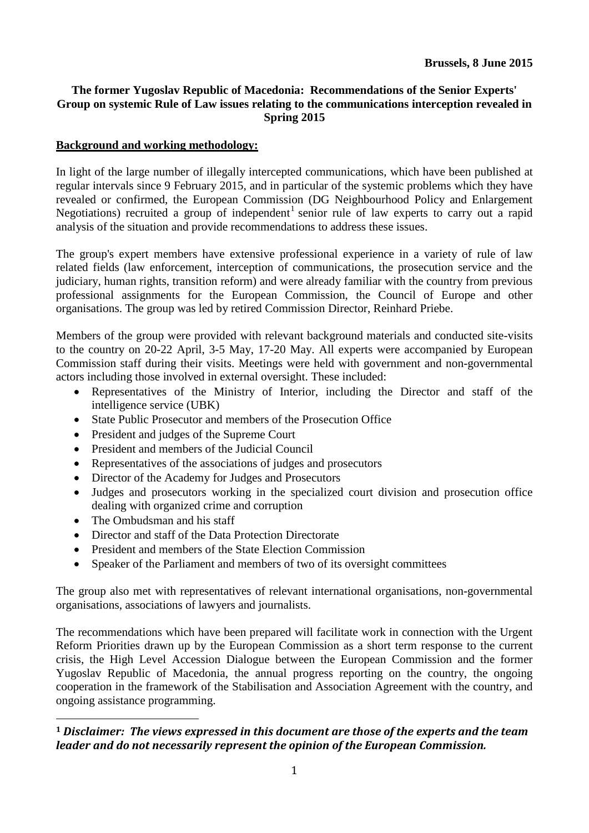# **The former Yugoslav Republic of Macedonia: Recommendations of the Senior Experts' Group on systemic Rule of Law issues relating to the communications interception revealed in Spring 2015**

# **Background and working methodology:**

In light of the large number of illegally intercepted communications, which have been published at regular intervals since 9 February 2015, and in particular of the systemic problems which they have revealed or confirmed, the European Commission (DG Neighbourhood Policy and Enlargement Negotiations) recruited a group of independent<sup>1</sup> senior rule of law experts to carry out a rapid analysis of the situation and provide recommendations to address these issues.

The group's expert members have extensive professional experience in a variety of rule of law related fields (law enforcement, interception of communications, the prosecution service and the judiciary, human rights, transition reform) and were already familiar with the country from previous professional assignments for the European Commission, the Council of Europe and other organisations. The group was led by retired Commission Director, Reinhard Priebe.

Members of the group were provided with relevant background materials and conducted site-visits to the country on 20-22 April, 3-5 May, 17-20 May. All experts were accompanied by European Commission staff during their visits. Meetings were held with government and non-governmental actors including those involved in external oversight. These included:

- Representatives of the Ministry of Interior, including the Director and staff of the intelligence service (UBK)
- State Public Prosecutor and members of the Prosecution Office
- President and judges of the Supreme Court
- President and members of the Judicial Council
- Representatives of the associations of judges and prosecutors
- Director of the Academy for Judges and Prosecutors
- Judges and prosecutors working in the specialized court division and prosecution office dealing with organized crime and corruption
- The Ombudsman and his staff

<u>.</u>

- Director and staff of the Data Protection Directorate
- President and members of the State Election Commission
- Speaker of the Parliament and members of two of its oversight committees

The group also met with representatives of relevant international organisations, non-governmental organisations, associations of lawyers and journalists.

The recommendations which have been prepared will facilitate work in connection with the Urgent Reform Priorities drawn up by the European Commission as a short term response to the current crisis, the High Level Accession Dialogue between the European Commission and the former Yugoslav Republic of Macedonia, the annual progress reporting on the country, the ongoing cooperation in the framework of the Stabilisation and Association Agreement with the country, and ongoing assistance programming.

**<sup>1</sup>** *Disclaimer: The views expressed in this document are those of the experts and the team leader and do not necessarily represent the opinion of the European Commission.*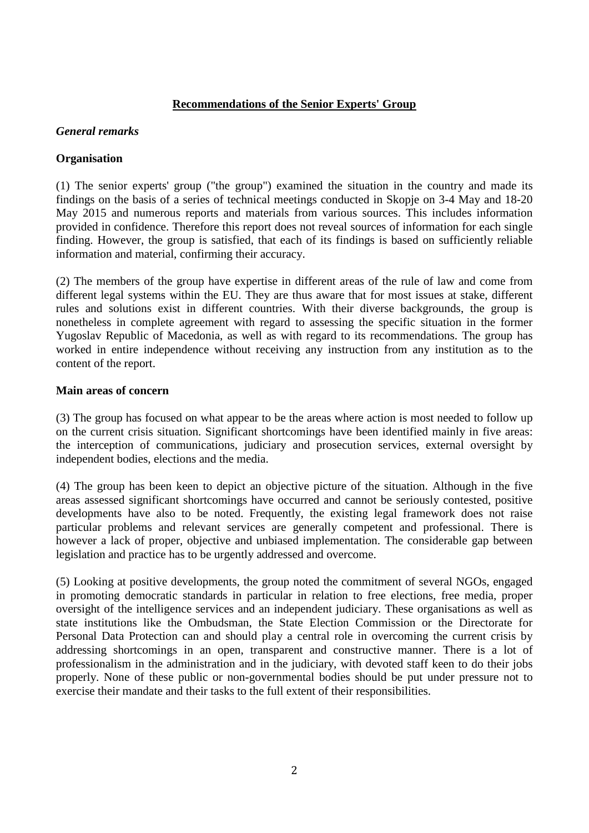### **Recommendations of the Senior Experts' Group**

#### *General remarks*

### **Organisation**

(1) The senior experts' group ("the group") examined the situation in the country and made its findings on the basis of a series of technical meetings conducted in Skopje on 3-4 May and 18-20 May 2015 and numerous reports and materials from various sources. This includes information provided in confidence. Therefore this report does not reveal sources of information for each single finding. However, the group is satisfied, that each of its findings is based on sufficiently reliable information and material, confirming their accuracy.

(2) The members of the group have expertise in different areas of the rule of law and come from different legal systems within the EU. They are thus aware that for most issues at stake, different rules and solutions exist in different countries. With their diverse backgrounds, the group is nonetheless in complete agreement with regard to assessing the specific situation in the former Yugoslav Republic of Macedonia, as well as with regard to its recommendations. The group has worked in entire independence without receiving any instruction from any institution as to the content of the report.

### **Main areas of concern**

(3) The group has focused on what appear to be the areas where action is most needed to follow up on the current crisis situation. Significant shortcomings have been identified mainly in five areas: the interception of communications, judiciary and prosecution services, external oversight by independent bodies, elections and the media.

(4) The group has been keen to depict an objective picture of the situation. Although in the five areas assessed significant shortcomings have occurred and cannot be seriously contested, positive developments have also to be noted. Frequently, the existing legal framework does not raise particular problems and relevant services are generally competent and professional. There is however a lack of proper, objective and unbiased implementation. The considerable gap between legislation and practice has to be urgently addressed and overcome.

(5) Looking at positive developments, the group noted the commitment of several NGOs, engaged in promoting democratic standards in particular in relation to free elections, free media, proper oversight of the intelligence services and an independent judiciary. These organisations as well as state institutions like the Ombudsman, the State Election Commission or the Directorate for Personal Data Protection can and should play a central role in overcoming the current crisis by addressing shortcomings in an open, transparent and constructive manner. There is a lot of professionalism in the administration and in the judiciary, with devoted staff keen to do their jobs properly. None of these public or non-governmental bodies should be put under pressure not to exercise their mandate and their tasks to the full extent of their responsibilities.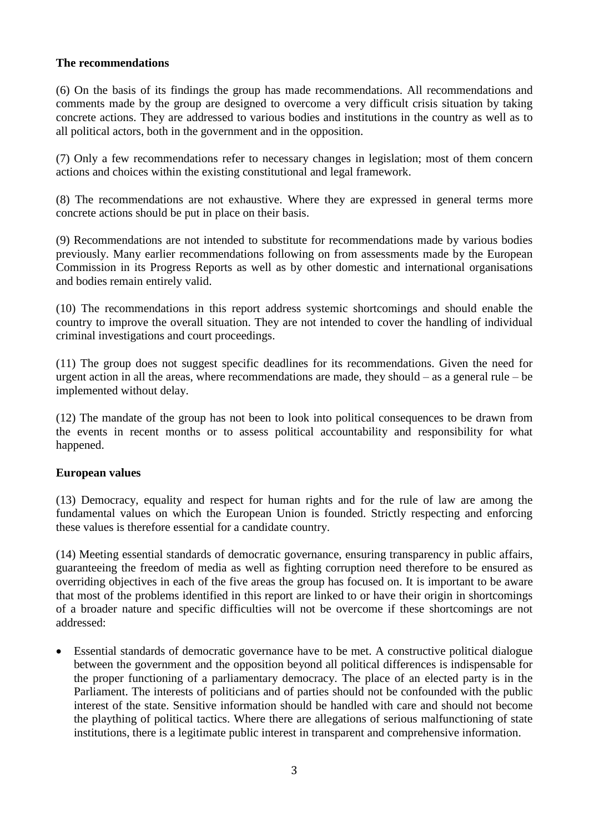# **The recommendations**

(6) On the basis of its findings the group has made recommendations. All recommendations and comments made by the group are designed to overcome a very difficult crisis situation by taking concrete actions. They are addressed to various bodies and institutions in the country as well as to all political actors, both in the government and in the opposition.

(7) Only a few recommendations refer to necessary changes in legislation; most of them concern actions and choices within the existing constitutional and legal framework.

(8) The recommendations are not exhaustive. Where they are expressed in general terms more concrete actions should be put in place on their basis.

(9) Recommendations are not intended to substitute for recommendations made by various bodies previously. Many earlier recommendations following on from assessments made by the European Commission in its Progress Reports as well as by other domestic and international organisations and bodies remain entirely valid.

(10) The recommendations in this report address systemic shortcomings and should enable the country to improve the overall situation. They are not intended to cover the handling of individual criminal investigations and court proceedings.

(11) The group does not suggest specific deadlines for its recommendations. Given the need for urgent action in all the areas, where recommendations are made, they should – as a general rule – be implemented without delay.

(12) The mandate of the group has not been to look into political consequences to be drawn from the events in recent months or to assess political accountability and responsibility for what happened.

#### **European values**

(13) Democracy, equality and respect for human rights and for the rule of law are among the fundamental values on which the European Union is founded. Strictly respecting and enforcing these values is therefore essential for a candidate country.

(14) Meeting essential standards of democratic governance, ensuring transparency in public affairs, guaranteeing the freedom of media as well as fighting corruption need therefore to be ensured as overriding objectives in each of the five areas the group has focused on. It is important to be aware that most of the problems identified in this report are linked to or have their origin in shortcomings of a broader nature and specific difficulties will not be overcome if these shortcomings are not addressed:

 Essential standards of democratic governance have to be met. A constructive political dialogue between the government and the opposition beyond all political differences is indispensable for the proper functioning of a parliamentary democracy. The place of an elected party is in the Parliament. The interests of politicians and of parties should not be confounded with the public interest of the state. Sensitive information should be handled with care and should not become the plaything of political tactics. Where there are allegations of serious malfunctioning of state institutions, there is a legitimate public interest in transparent and comprehensive information.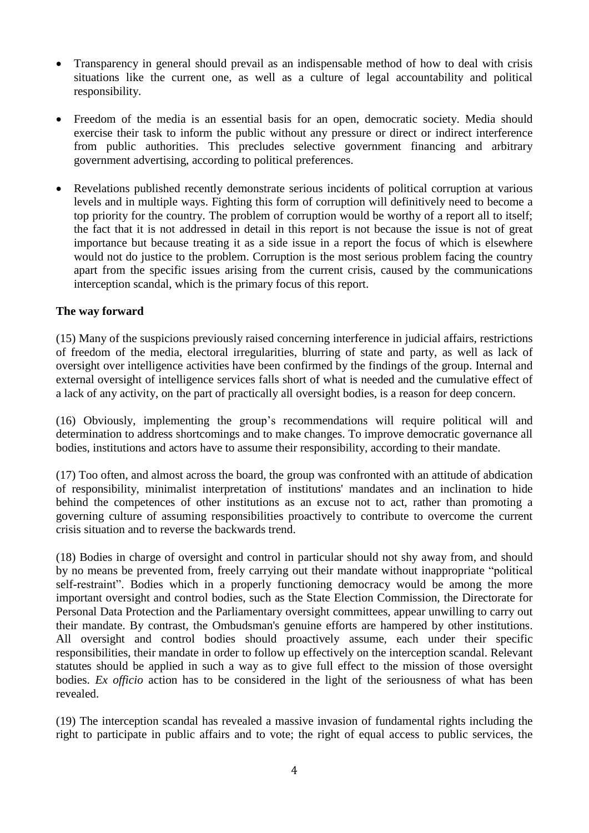- Transparency in general should prevail as an indispensable method of how to deal with crisis situations like the current one, as well as a culture of legal accountability and political responsibility.
- Freedom of the media is an essential basis for an open, democratic society. Media should exercise their task to inform the public without any pressure or direct or indirect interference from public authorities. This precludes selective government financing and arbitrary government advertising, according to political preferences.
- Revelations published recently demonstrate serious incidents of political corruption at various levels and in multiple ways. Fighting this form of corruption will definitively need to become a top priority for the country. The problem of corruption would be worthy of a report all to itself; the fact that it is not addressed in detail in this report is not because the issue is not of great importance but because treating it as a side issue in a report the focus of which is elsewhere would not do justice to the problem. Corruption is the most serious problem facing the country apart from the specific issues arising from the current crisis, caused by the communications interception scandal, which is the primary focus of this report.

# **The way forward**

(15) Many of the suspicions previously raised concerning interference in judicial affairs, restrictions of freedom of the media, electoral irregularities, blurring of state and party, as well as lack of oversight over intelligence activities have been confirmed by the findings of the group. Internal and external oversight of intelligence services falls short of what is needed and the cumulative effect of a lack of any activity, on the part of practically all oversight bodies, is a reason for deep concern.

(16) Obviously, implementing the group's recommendations will require political will and determination to address shortcomings and to make changes. To improve democratic governance all bodies, institutions and actors have to assume their responsibility, according to their mandate.

(17) Too often, and almost across the board, the group was confronted with an attitude of abdication of responsibility, minimalist interpretation of institutions' mandates and an inclination to hide behind the competences of other institutions as an excuse not to act, rather than promoting a governing culture of assuming responsibilities proactively to contribute to overcome the current crisis situation and to reverse the backwards trend.

(18) Bodies in charge of oversight and control in particular should not shy away from, and should by no means be prevented from, freely carrying out their mandate without inappropriate "political self-restraint". Bodies which in a properly functioning democracy would be among the more important oversight and control bodies, such as the State Election Commission, the Directorate for Personal Data Protection and the Parliamentary oversight committees, appear unwilling to carry out their mandate. By contrast, the Ombudsman's genuine efforts are hampered by other institutions. All oversight and control bodies should proactively assume, each under their specific responsibilities, their mandate in order to follow up effectively on the interception scandal. Relevant statutes should be applied in such a way as to give full effect to the mission of those oversight bodies. *Ex officio* action has to be considered in the light of the seriousness of what has been revealed.

(19) The interception scandal has revealed a massive invasion of fundamental rights including the right to participate in public affairs and to vote; the right of equal access to public services, the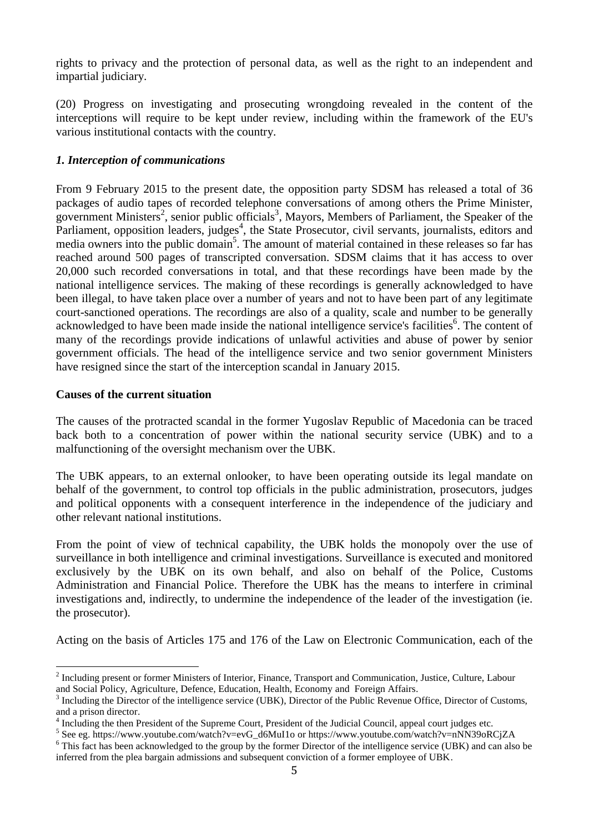rights to privacy and the protection of personal data, as well as the right to an independent and impartial judiciary.

(20) Progress on investigating and prosecuting wrongdoing revealed in the content of the interceptions will require to be kept under review, including within the framework of the EU's various institutional contacts with the country.

# *1. Interception of communications*

From 9 February 2015 to the present date, the opposition party SDSM has released a total of 36 packages of audio tapes of recorded telephone conversations of among others the Prime Minister, government Ministers<sup>2</sup>, senior public officials<sup>3</sup>, Mayors, Members of Parliament, the Speaker of the Parliament, opposition leaders, judges<sup>4</sup>, the State Prosecutor, civil servants, journalists, editors and media owners into the public domain<sup>5</sup>. The amount of material contained in these releases so far has reached around 500 pages of transcripted conversation. SDSM claims that it has access to over 20,000 such recorded conversations in total, and that these recordings have been made by the national intelligence services. The making of these recordings is generally acknowledged to have been illegal, to have taken place over a number of years and not to have been part of any legitimate court-sanctioned operations. The recordings are also of a quality, scale and number to be generally acknowledged to have been made inside the national intelligence service's facilities<sup>6</sup>. The content of many of the recordings provide indications of unlawful activities and abuse of power by senior government officials. The head of the intelligence service and two senior government Ministers have resigned since the start of the interception scandal in January 2015.

#### **Causes of the current situation**

<u>.</u>

The causes of the protracted scandal in the former Yugoslav Republic of Macedonia can be traced back both to a concentration of power within the national security service (UBK) and to a malfunctioning of the oversight mechanism over the UBK.

The UBK appears, to an external onlooker, to have been operating outside its legal mandate on behalf of the government, to control top officials in the public administration, prosecutors, judges and political opponents with a consequent interference in the independence of the judiciary and other relevant national institutions.

From the point of view of technical capability, the UBK holds the monopoly over the use of surveillance in both intelligence and criminal investigations. Surveillance is executed and monitored exclusively by the UBK on its own behalf, and also on behalf of the Police, Customs Administration and Financial Police. Therefore the UBK has the means to interfere in criminal investigations and, indirectly, to undermine the independence of the leader of the investigation (ie. the prosecutor).

Acting on the basis of Articles 175 and 176 of the Law on Electronic Communication, each of the

 $2^{2}$  Including present or former Ministers of Interior, Finance, Transport and Communication, Justice, Culture, Labour and Social Policy, Agriculture, Defence, Education, Health, Economy and Foreign Affairs.

<sup>3</sup> Including the Director of the intelligence service (UBK), Director of the Public Revenue Office, Director of Customs, and a prison director.

<sup>4</sup> Including the then President of the Supreme Court, President of the Judicial Council, appeal court judges etc.

<sup>&</sup>lt;sup>5</sup> See eg. [https://www.youtube.com/watch?v=evG\\_d6MuI1o](https://www.youtube.com/watch?v=evG_d6MuI1o) or <https://www.youtube.com/watch?v=nNN39oRCjZA>

<sup>&</sup>lt;sup>6</sup> This fact has been acknowledged to the group by the former Director of the intelligence service (UBK) and can also be inferred from the plea bargain admissions and subsequent conviction of a former employee of UBK.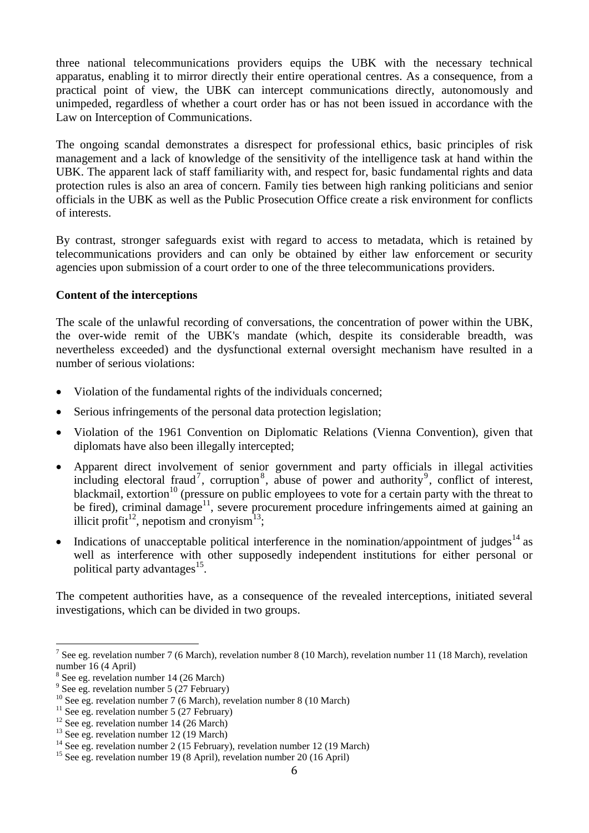three national telecommunications providers equips the UBK with the necessary technical apparatus, enabling it to mirror directly their entire operational centres. As a consequence, from a practical point of view, the UBK can intercept communications directly, autonomously and unimpeded, regardless of whether a court order has or has not been issued in accordance with the Law on Interception of Communications.

The ongoing scandal demonstrates a disrespect for professional ethics, basic principles of risk management and a lack of knowledge of the sensitivity of the intelligence task at hand within the UBK. The apparent lack of staff familiarity with, and respect for, basic fundamental rights and data protection rules is also an area of concern. Family ties between high ranking politicians and senior officials in the UBK as well as the Public Prosecution Office create a risk environment for conflicts of interests.

By contrast, stronger safeguards exist with regard to access to metadata, which is retained by telecommunications providers and can only be obtained by either law enforcement or security agencies upon submission of a court order to one of the three telecommunications providers.

### **Content of the interceptions**

The scale of the unlawful recording of conversations, the concentration of power within the UBK, the over-wide remit of the UBK's mandate (which, despite its considerable breadth, was nevertheless exceeded) and the dysfunctional external oversight mechanism have resulted in a number of serious violations:

- Violation of the fundamental rights of the individuals concerned;
- Serious infringements of the personal data protection legislation;
- Violation of the 1961 Convention on Diplomatic Relations (Vienna Convention), given that diplomats have also been illegally intercepted;
- Apparent direct involvement of senior government and party officials in illegal activities including electoral fraud<sup>7</sup>, corruption<sup>8</sup>, abuse of power and authority<sup>9</sup>, conflict of interest, blackmail, extortion<sup>10</sup> (pressure on public employees to vote for a certain party with the threat to be fired), criminal damage<sup>11</sup>, severe procurement procedure infringements aimed at gaining an illicit profit<sup>12</sup>, nepotism and cronyism<sup>13</sup>;
- Indications of unacceptable political interference in the nomination/appointment of judges<sup>14</sup> as well as interference with other supposedly independent institutions for either personal or political party advantages<sup>15</sup>.

The competent authorities have, as a consequence of the revealed interceptions, initiated several investigations, which can be divided in two groups.

<sup>7</sup> See eg. revelation number 7 (6 March), revelation number 8 (10 March), revelation number 11 (18 March), revelation number 16 (4 April)

<sup>8</sup> See eg. revelation number 14 (26 March)

<sup>&</sup>lt;sup>9</sup> See eg. revelation number 5 (27 February)

<sup>&</sup>lt;sup>10</sup> See eg. revelation number 7 (6 March), revelation number 8 (10 March)

<sup>&</sup>lt;sup>11</sup> See eg. revelation number 5 (27 February)

 $12$  See eg. revelation number 14 (26 March)

 $^{13}$  See eg. revelation number 12 (19 March)

<sup>&</sup>lt;sup>14</sup> See eg. revelation number 2 (15 February), revelation number 12 (19 March)

<sup>&</sup>lt;sup>15</sup> See eg. revelation number 19 (8 April), revelation number 20 (16 April)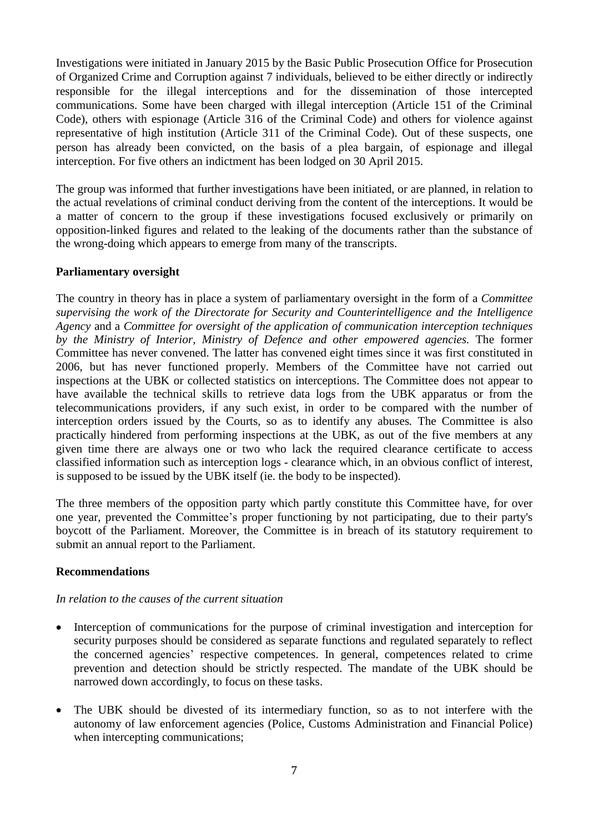Investigations were initiated in January 2015 by the Basic Public Prosecution Office for Prosecution of Organized Crime and Corruption against 7 individuals, believed to be either directly or indirectly responsible for the illegal interceptions and for the dissemination of those intercepted communications. Some have been charged with illegal interception (Article 151 of the Criminal Code), others with espionage (Article 316 of the Criminal Code) and others for violence against representative of high institution (Article 311 of the Criminal Code). Out of these suspects, one person has already been convicted, on the basis of a plea bargain, of espionage and illegal interception. For five others an indictment has been lodged on 30 April 2015.

The group was informed that further investigations have been initiated, or are planned, in relation to the actual revelations of criminal conduct deriving from the content of the interceptions. It would be a matter of concern to the group if these investigations focused exclusively or primarily on opposition-linked figures and related to the leaking of the documents rather than the substance of the wrong-doing which appears to emerge from many of the transcripts.

# **Parliamentary oversight**

The country in theory has in place a system of parliamentary oversight in the form of a *Committee supervising the work of the Directorate for Security and Counterintelligence and the Intelligence Agency* and a *Committee for oversight of the application of communication interception techniques by the Ministry of Interior, Ministry of Defence and other empowered agencies.* The former Committee has never convened. The latter has convened eight times since it was first constituted in 2006, but has never functioned properly. Members of the Committee have not carried out inspections at the UBK or collected statistics on interceptions. The Committee does not appear to have available the technical skills to retrieve data logs from the UBK apparatus or from the telecommunications providers, if any such exist, in order to be compared with the number of interception orders issued by the Courts, so as to identify any abuses*.* The Committee is also practically hindered from performing inspections at the UBK, as out of the five members at any given time there are always one or two who lack the required clearance certificate to access classified information such as interception logs - clearance which, in an obvious conflict of interest, is supposed to be issued by the UBK itself (ie. the body to be inspected).

The three members of the opposition party which partly constitute this Committee have, for over one year, prevented the Committee's proper functioning by not participating, due to their party's boycott of the Parliament. Moreover, the Committee is in breach of its statutory requirement to submit an annual report to the Parliament.

#### **Recommendations**

#### *In relation to the causes of the current situation*

- Interception of communications for the purpose of criminal investigation and interception for security purposes should be considered as separate functions and regulated separately to reflect the concerned agencies' respective competences. In general, competences related to crime prevention and detection should be strictly respected. The mandate of the UBK should be narrowed down accordingly, to focus on these tasks.
- The UBK should be divested of its intermediary function, so as to not interfere with the autonomy of law enforcement agencies (Police, Customs Administration and Financial Police) when intercepting communications;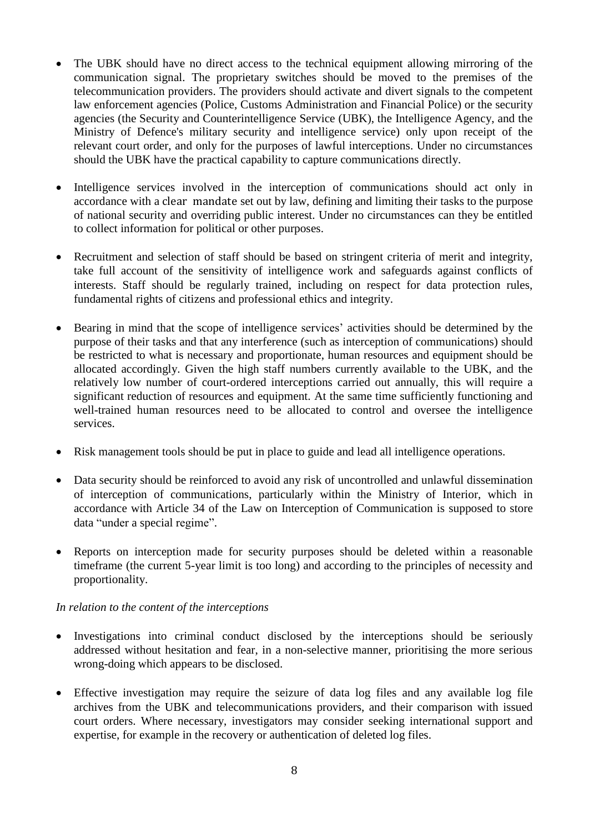- The UBK should have no direct access to the technical equipment allowing mirroring of the communication signal. The proprietary switches should be moved to the premises of the telecommunication providers. The providers should activate and divert signals to the competent law enforcement agencies (Police, Customs Administration and Financial Police) or the security agencies (the Security and Counterintelligence Service (UBK), the Intelligence Agency, and the Ministry of Defence's military security and intelligence service) only upon receipt of the relevant court order, and only for the purposes of lawful interceptions. Under no circumstances should the UBK have the practical capability to capture communications directly.
- Intelligence services involved in the interception of communications should act only in accordance with a clear mandate set out by law, defining and limiting their tasks to the purpose of national security and overriding public interest. Under no circumstances can they be entitled to collect information for political or other purposes.
- Recruitment and selection of staff should be based on stringent criteria of merit and integrity, take full account of the sensitivity of intelligence work and safeguards against conflicts of interests. Staff should be regularly trained, including on respect for data protection rules, fundamental rights of citizens and professional ethics and integrity.
- Bearing in mind that the scope of intelligence services' activities should be determined by the purpose of their tasks and that any interference (such as interception of communications) should be restricted to what is necessary and proportionate, human resources and equipment should be allocated accordingly. Given the high staff numbers currently available to the UBK, and the relatively low number of court-ordered interceptions carried out annually, this will require a significant reduction of resources and equipment. At the same time sufficiently functioning and well-trained human resources need to be allocated to control and oversee the intelligence services.
- Risk management tools should be put in place to guide and lead all intelligence operations.
- Data security should be reinforced to avoid any risk of uncontrolled and unlawful dissemination of interception of communications, particularly within the Ministry of Interior, which in accordance with Article 34 of the Law on Interception of Communication is supposed to store data "under a special regime".
- Reports on interception made for security purposes should be deleted within a reasonable timeframe (the current 5-year limit is too long) and according to the principles of necessity and proportionality.

# *In relation to the content of the interceptions*

- Investigations into criminal conduct disclosed by the interceptions should be seriously addressed without hesitation and fear, in a non-selective manner, prioritising the more serious wrong-doing which appears to be disclosed.
- Effective investigation may require the seizure of data log files and any available log file archives from the UBK and telecommunications providers, and their comparison with issued court orders. Where necessary, investigators may consider seeking international support and expertise, for example in the recovery or authentication of deleted log files.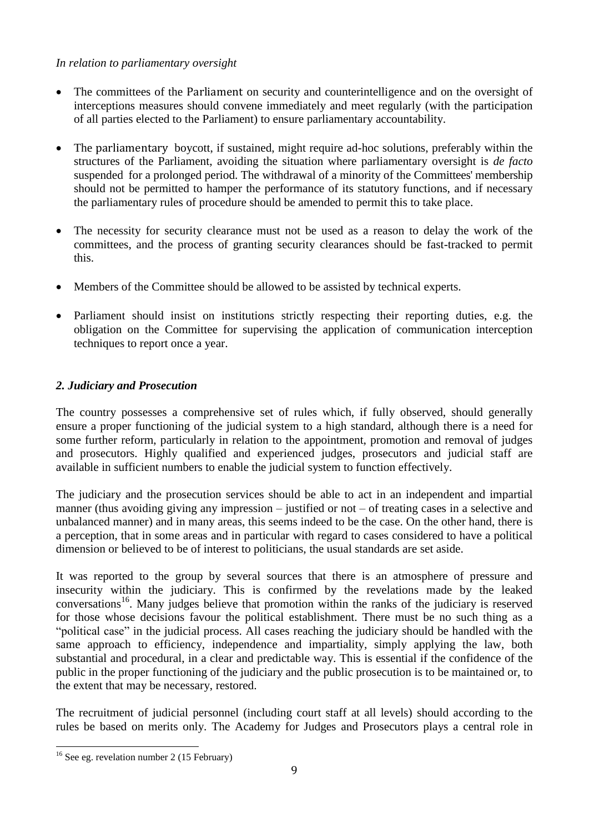# *In relation to parliamentary oversight*

- The committees of the Parliament on security and counterintelligence and on the oversight of interceptions measures should convene immediately and meet regularly (with the participation of all parties elected to the Parliament) to ensure parliamentary accountability.
- The parliamentary boycott, if sustained, might require ad-hoc solutions, preferably within the structures of the Parliament, avoiding the situation where parliamentary oversight is *de facto* suspended for a prolonged period. The withdrawal of a minority of the Committees' membership should not be permitted to hamper the performance of its statutory functions, and if necessary the parliamentary rules of procedure should be amended to permit this to take place.
- The necessity for security clearance must not be used as a reason to delay the work of the committees, and the process of granting security clearances should be fast-tracked to permit this.
- Members of the Committee should be allowed to be assisted by technical experts.
- Parliament should insist on institutions strictly respecting their reporting duties, e.g. the obligation on the Committee for supervising the application of communication interception techniques to report once a year.

# *2. Judiciary and Prosecution*

The country possesses a comprehensive set of rules which, if fully observed, should generally ensure a proper functioning of the judicial system to a high standard, although there is a need for some further reform, particularly in relation to the appointment, promotion and removal of judges and prosecutors. Highly qualified and experienced judges, prosecutors and judicial staff are available in sufficient numbers to enable the judicial system to function effectively.

The judiciary and the prosecution services should be able to act in an independent and impartial manner (thus avoiding giving any impression – justified or not – of treating cases in a selective and unbalanced manner) and in many areas, this seems indeed to be the case. On the other hand, there is a perception, that in some areas and in particular with regard to cases considered to have a political dimension or believed to be of interest to politicians, the usual standards are set aside.

It was reported to the group by several sources that there is an atmosphere of pressure and insecurity within the judiciary. This is confirmed by the revelations made by the leaked conversations<sup>16</sup>. Many judges believe that promotion within the ranks of the judiciary is reserved for those whose decisions favour the political establishment. There must be no such thing as a "political case" in the judicial process. All cases reaching the judiciary should be handled with the same approach to efficiency, independence and impartiality, simply applying the law, both substantial and procedural, in a clear and predictable way. This is essential if the confidence of the public in the proper functioning of the judiciary and the public prosecution is to be maintained or, to the extent that may be necessary, restored.

The recruitment of judicial personnel (including court staff at all levels) should according to the rules be based on merits only. The Academy for Judges and Prosecutors plays a central role in

<sup>&</sup>lt;u>.</u>  $16$  See eg. revelation number 2 (15 February)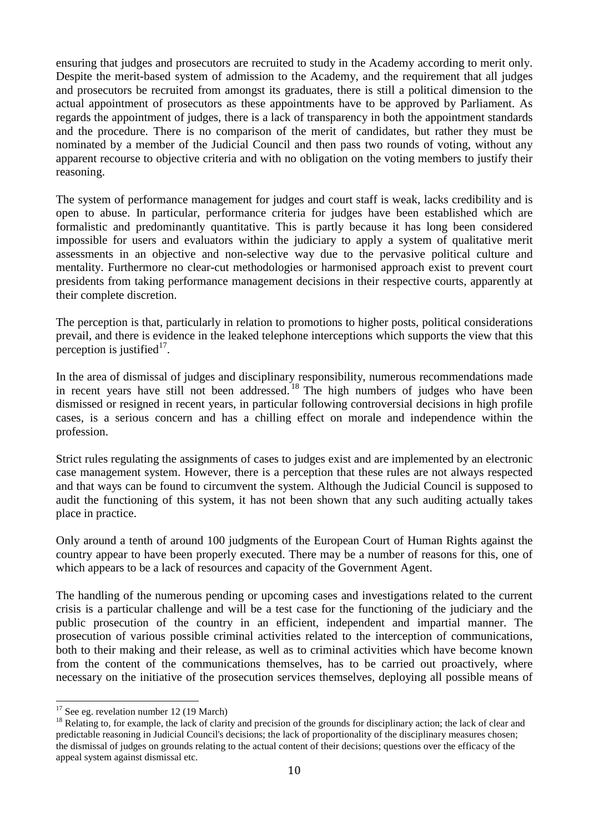ensuring that judges and prosecutors are recruited to study in the Academy according to merit only. Despite the merit-based system of admission to the Academy, and the requirement that all judges and prosecutors be recruited from amongst its graduates, there is still a political dimension to the actual appointment of prosecutors as these appointments have to be approved by Parliament. As regards the appointment of judges, there is a lack of transparency in both the appointment standards and the procedure. There is no comparison of the merit of candidates, but rather they must be nominated by a member of the Judicial Council and then pass two rounds of voting, without any apparent recourse to objective criteria and with no obligation on the voting members to justify their reasoning.

The system of performance management for judges and court staff is weak, lacks credibility and is open to abuse. In particular, performance criteria for judges have been established which are formalistic and predominantly quantitative. This is partly because it has long been considered impossible for users and evaluators within the judiciary to apply a system of qualitative merit assessments in an objective and non-selective way due to the pervasive political culture and mentality. Furthermore no clear-cut methodologies or harmonised approach exist to prevent court presidents from taking performance management decisions in their respective courts, apparently at their complete discretion.

The perception is that, particularly in relation to promotions to higher posts, political considerations prevail, and there is evidence in the leaked telephone interceptions which supports the view that this perception is justified $17$ .

In the area of dismissal of judges and disciplinary responsibility, numerous recommendations made in the theorem of statistical of judges the discreptional is responseding, numbers of judges who have been in recent years have still not been addressed.<sup>18</sup> The high numbers of judges who have been dismissed or resigned in recent years, in particular following controversial decisions in high profile cases, is a serious concern and has a chilling effect on morale and independence within the profession.

Strict rules regulating the assignments of cases to judges exist and are implemented by an electronic case management system. However, there is a perception that these rules are not always respected and that ways can be found to circumvent the system. Although the Judicial Council is supposed to audit the functioning of this system, it has not been shown that any such auditing actually takes place in practice.

Only around a tenth of around 100 judgments of the European Court of Human Rights against the country appear to have been properly executed. There may be a number of reasons for this, one of which appears to be a lack of resources and capacity of the Government Agent.

The handling of the numerous pending or upcoming cases and investigations related to the current crisis is a particular challenge and will be a test case for the functioning of the judiciary and the public prosecution of the country in an efficient, independent and impartial manner. The prosecution of various possible criminal activities related to the interception of communications, both to their making and their release, as well as to criminal activities which have become known from the content of the communications themselves, has to be carried out proactively, where necessary on the initiative of the prosecution services themselves, deploying all possible means of

 $17$  See eg. revelation number 12 (19 March)

<sup>&</sup>lt;sup>18</sup> Relating to, for example, the lack of clarity and precision of the grounds for disciplinary action; the lack of clear and predictable reasoning in Judicial Council's decisions; the lack of proportionality of the disciplinary measures chosen; the dismissal of judges on grounds relating to the actual content of their decisions; questions over the efficacy of the appeal system against dismissal etc.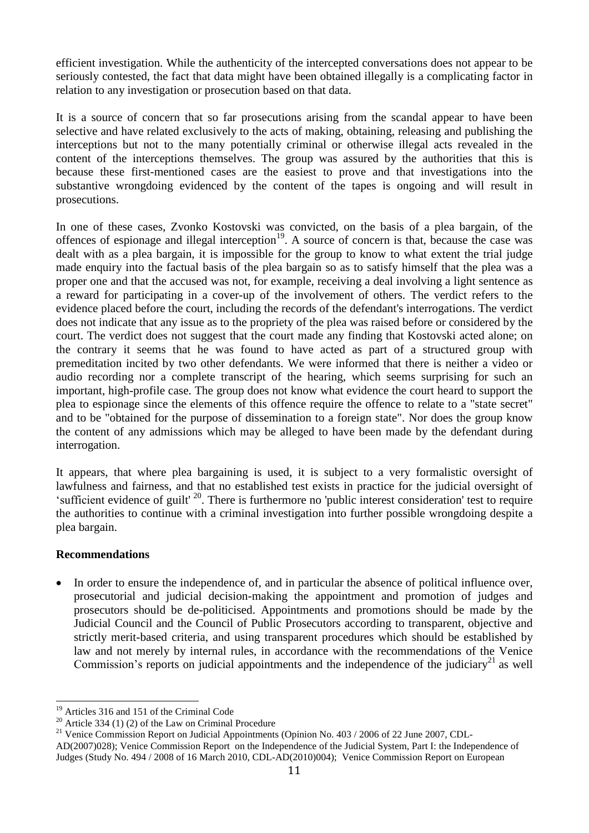efficient investigation. While the authenticity of the intercepted conversations does not appear to be seriously contested, the fact that data might have been obtained illegally is a complicating factor in relation to any investigation or prosecution based on that data.

It is a source of concern that so far prosecutions arising from the scandal appear to have been selective and have related exclusively to the acts of making, obtaining, releasing and publishing the interceptions but not to the many potentially criminal or otherwise illegal acts revealed in the content of the interceptions themselves. The group was assured by the authorities that this is because these first-mentioned cases are the easiest to prove and that investigations into the substantive wrongdoing evidenced by the content of the tapes is ongoing and will result in prosecutions.

In one of these cases, Zvonko Kostovski was convicted, on the basis of a plea bargain, of the offences of espionage and illegal interception<sup>19</sup>. A source of concern is that, because the case was dealt with as a plea bargain, it is impossible for the group to know to what extent the trial judge made enquiry into the factual basis of the plea bargain so as to satisfy himself that the plea was a proper one and that the accused was not, for example, receiving a deal involving a light sentence as a reward for participating in a cover-up of the involvement of others. The verdict refers to the evidence placed before the court, including the records of the defendant's interrogations. The verdict does not indicate that any issue as to the propriety of the plea was raised before or considered by the court. The verdict does not suggest that the court made any finding that Kostovski acted alone; on the contrary it seems that he was found to have acted as part of a structured group with premeditation incited by two other defendants. We were informed that there is neither a video or audio recording nor a complete transcript of the hearing, which seems surprising for such an important, high-profile case. The group does not know what evidence the court heard to support the plea to espionage since the elements of this offence require the offence to relate to a "state secret" and to be "obtained for the purpose of dissemination to a foreign state". Nor does the group know the content of any admissions which may be alleged to have been made by the defendant during interrogation.

It appears, that where plea bargaining is used, it is subject to a very formalistic oversight of lawfulness and fairness, and that no established test exists in practice for the judicial oversight of 'sufficient evidence of guilt'<sup>20</sup>. There is furthermore no 'public interest consideration' test to require the authorities to continue with a criminal investigation into further possible wrongdoing despite a plea bargain.

#### **Recommendations**

<u>.</u>

 In order to ensure the independence of, and in particular the absence of political influence over, prosecutorial and judicial decision-making the appointment and promotion of judges and prosecutors should be de-politicised. Appointments and promotions should be made by the Judicial Council and the Council of Public Prosecutors according to transparent, objective and strictly merit-based criteria, and using transparent procedures which should be established by law and not merely by internal rules, in accordance with the recommendations of the Venice Commission's reports on judicial appointments and the independence of the judiciary $^{21}$  as well

<sup>&</sup>lt;sup>19</sup> Articles 316 and 151 of the Criminal Code

<sup>20</sup> Articles 310 and 121 of the Law on Criminal Procedure

<sup>&</sup>lt;sup>21</sup> Venice Commission Report on Judicial Appointments (Opinion No. 403 / 2006 of 22 June 2007, CDL-

AD(2007)028); Venice Commission Report on the Independence of the Judicial System, Part I: the Independence of Judges (Study No. 494 / 2008 of 16 March 2010, CDL-AD(2010)004); Venice Commission Report on European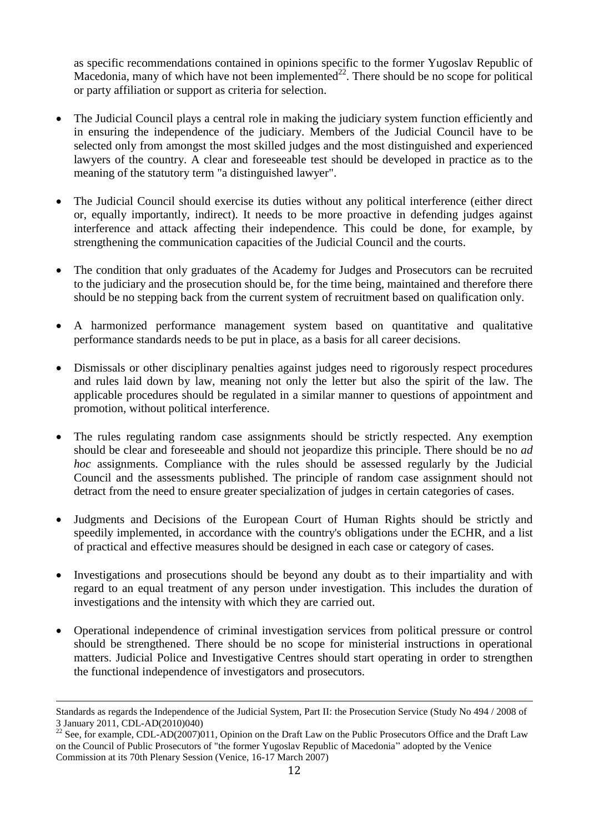as specific recommendations contained in opinions specific to the former Yugoslav Republic of Macedonia, many of which have not been implemented $^{22}$ . There should be no scope for political or party affiliation or support as criteria for selection.

- The Judicial Council plays a central role in making the judiciary system function efficiently and in ensuring the independence of the judiciary. Members of the Judicial Council have to be selected only from amongst the most skilled judges and the most distinguished and experienced lawyers of the country. A clear and foreseeable test should be developed in practice as to the meaning of the statutory term "a distinguished lawyer".
- The Judicial Council should exercise its duties without any political interference (either direct or, equally importantly, indirect). It needs to be more proactive in defending judges against interference and attack affecting their independence. This could be done, for example, by strengthening the communication capacities of the Judicial Council and the courts.
- The condition that only graduates of the Academy for Judges and Prosecutors can be recruited to the judiciary and the prosecution should be, for the time being, maintained and therefore there should be no stepping back from the current system of recruitment based on qualification only.
- A harmonized performance management system based on quantitative and qualitative performance standards needs to be put in place, as a basis for all career decisions.
- Dismissals or other disciplinary penalties against judges need to rigorously respect procedures and rules laid down by law, meaning not only the letter but also the spirit of the law. The applicable procedures should be regulated in a similar manner to questions of appointment and promotion, without political interference.
- The rules regulating random case assignments should be strictly respected. Any exemption should be clear and foreseeable and should not jeopardize this principle. There should be no *ad hoc* assignments. Compliance with the rules should be assessed regularly by the Judicial Council and the assessments published. The principle of random case assignment should not detract from the need to ensure greater specialization of judges in certain categories of cases.
- Judgments and Decisions of the European Court of Human Rights should be strictly and speedily implemented, in accordance with the country's obligations under the ECHR, and a list of practical and effective measures should be designed in each case or category of cases.
- Investigations and prosecutions should be beyond any doubt as to their impartiality and with regard to an equal treatment of any person under investigation. This includes the duration of investigations and the intensity with which they are carried out.
- Operational independence of criminal investigation services from political pressure or control should be strengthened. There should be no scope for ministerial instructions in operational matters. Judicial Police and Investigative Centres should start operating in order to strengthen the functional independence of investigators and prosecutors.

Standards as regards the Independence of the Judicial System, Part II: the Prosecution Service (Study No 494 / 2008 of 3 January 2011, CDL-AD(2010)040)

<sup>&</sup>lt;sup>22</sup> See, for example, CDL-AD(2007)011, Opinion on the Draft Law on the Public Prosecutors Office and the Draft Law on the Council of Public Prosecutors of "the former Yugoslav Republic of Macedonia" adopted by the Venice Commission at its 70th Plenary Session (Venice, 16-17 March 2007)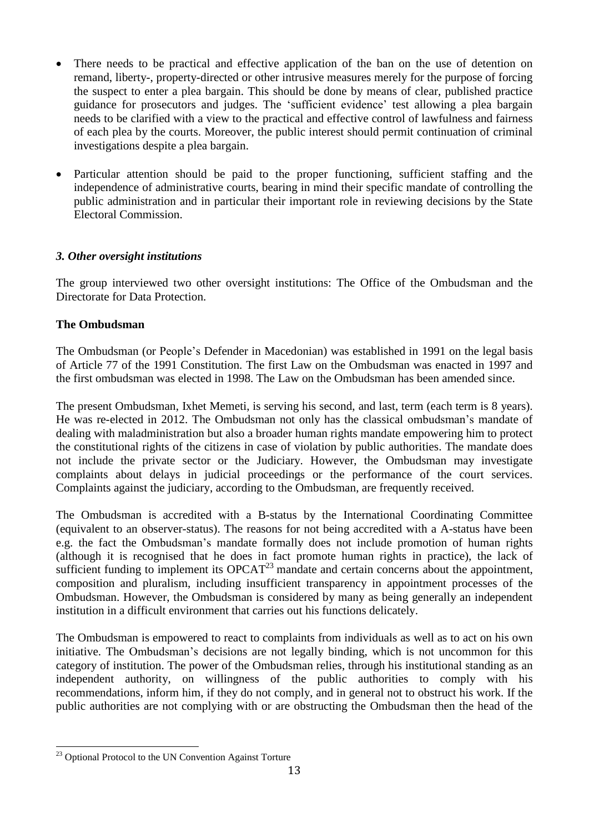- There needs to be practical and effective application of the ban on the use of detention on remand, liberty-, property-directed or other intrusive measures merely for the purpose of forcing the suspect to enter a plea bargain. This should be done by means of clear, published practice guidance for prosecutors and judges. The 'sufficient evidence' test allowing a plea bargain needs to be clarified with a view to the practical and effective control of lawfulness and fairness of each plea by the courts. Moreover, the public interest should permit continuation of criminal investigations despite a plea bargain.
- Particular attention should be paid to the proper functioning, sufficient staffing and the independence of administrative courts, bearing in mind their specific mandate of controlling the public administration and in particular their important role in reviewing decisions by the State Electoral Commission.

### *3. Other oversight institutions*

The group interviewed two other oversight institutions: The Office of the Ombudsman and the Directorate for Data Protection.

### **The Ombudsman**

The Ombudsman (or People's Defender in Macedonian) was established in 1991 on the legal basis of Article 77 of the 1991 Constitution. The first Law on the Ombudsman was enacted in 1997 and the first ombudsman was elected in 1998. The Law on the Ombudsman has been amended since.

The present Ombudsman, Ixhet Memeti, is serving his second, and last, term (each term is 8 years). He was re-elected in 2012. The Ombudsman not only has the classical ombudsman's mandate of dealing with maladministration but also a broader human rights mandate empowering him to protect the constitutional rights of the citizens in case of violation by public authorities. The mandate does not include the private sector or the Judiciary. However, the Ombudsman may investigate complaints about delays in judicial proceedings or the performance of the court services. Complaints against the judiciary, according to the Ombudsman, are frequently received.

The Ombudsman is accredited with a B-status by the International Coordinating Committee (equivalent to an observer-status). The reasons for not being accredited with a A-status have been e.g. the fact the Ombudsman's mandate formally does not include promotion of human rights (although it is recognised that he does in fact promote human rights in practice), the lack of sufficient funding to implement its  $OPCAT^{23}$  mandate and certain concerns about the appointment. composition and pluralism, including insufficient transparency in appointment processes of the Ombudsman. However, the Ombudsman is considered by many as being generally an independent institution in a difficult environment that carries out his functions delicately.

The Ombudsman is empowered to react to complaints from individuals as well as to act on his own initiative. The Ombudsman's decisions are not legally binding, which is not uncommon for this category of institution. The power of the Ombudsman relies, through his institutional standing as an independent authority, on willingness of the public authorities to comply with his recommendations, inform him, if they do not comply, and in general not to obstruct his work. If the public authorities are not complying with or are obstructing the Ombudsman then the head of the

<sup>&</sup>lt;sup>23</sup> Optional Protocol to the UN Convention Against Torture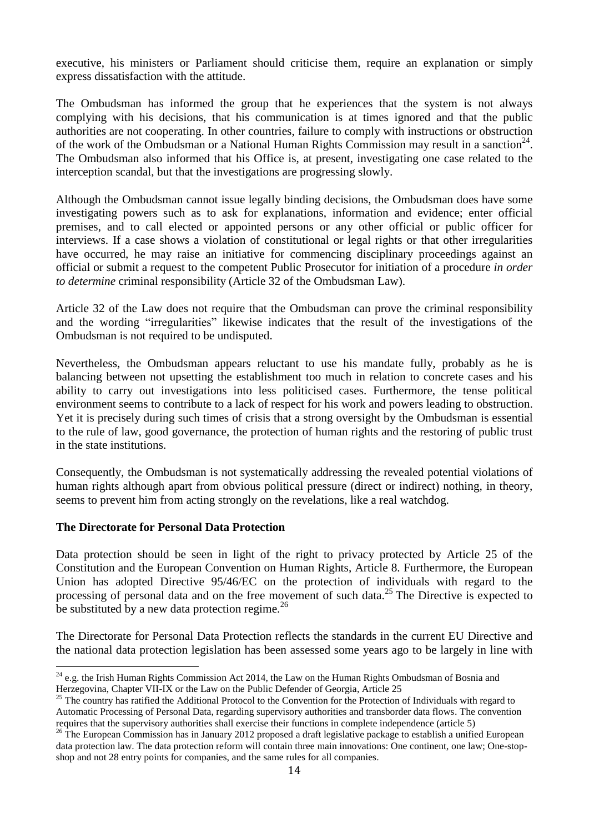executive, his ministers or Parliament should criticise them, require an explanation or simply express dissatisfaction with the attitude.

The Ombudsman has informed the group that he experiences that the system is not always complying with his decisions, that his communication is at times ignored and that the public authorities are not cooperating. In other countries, failure to comply with instructions or obstruction of the work of the Ombudsman or a National Human Rights Commission may result in a sanction<sup>24</sup>. The Ombudsman also informed that his Office is, at present, investigating one case related to the interception scandal, but that the investigations are progressing slowly.

Although the Ombudsman cannot issue legally binding decisions, the Ombudsman does have some investigating powers such as to ask for explanations, information and evidence; enter official premises, and to call elected or appointed persons or any other official or public officer for interviews. If a case shows a violation of constitutional or legal rights or that other irregularities have occurred, he may raise an initiative for commencing disciplinary proceedings against an official or submit a request to the competent Public Prosecutor for initiation of a procedure *in order to determine* criminal responsibility (Article 32 of the Ombudsman Law).

Article 32 of the Law does not require that the Ombudsman can prove the criminal responsibility and the wording "irregularities" likewise indicates that the result of the investigations of the Ombudsman is not required to be undisputed.

Nevertheless, the Ombudsman appears reluctant to use his mandate fully, probably as he is balancing between not upsetting the establishment too much in relation to concrete cases and his ability to carry out investigations into less politicised cases. Furthermore, the tense political environment seems to contribute to a lack of respect for his work and powers leading to obstruction. Yet it is precisely during such times of crisis that a strong oversight by the Ombudsman is essential to the rule of law, good governance, the protection of human rights and the restoring of public trust in the state institutions.

Consequently, the Ombudsman is not systematically addressing the revealed potential violations of human rights although apart from obvious political pressure (direct or indirect) nothing, in theory, seems to prevent him from acting strongly on the revelations, like a real watchdog.

#### **The Directorate for Personal Data Protection**

Data protection should be seen in light of the right to privacy protected by Article 25 of the Constitution and the European Convention on Human Rights, Article 8. Furthermore, the European Union has adopted Directive 95/46/EC on the protection of individuals with regard to the processing of personal data and on the free movement of such data.<sup>25</sup> The Directive is expected to be substituted by a new data protection regime. $^{26}$ 

The Directorate for Personal Data Protection reflects the standards in the current EU Directive and the national data protection legislation has been assessed some years ago to be largely in line with

<sup>&</sup>lt;u>.</u>  $^{24}$  e.g. the Irish Human Rights Commission Act 2014, the Law on the Human Rights Ombudsman of Bosnia and Herzegovina, Chapter VII-IX or the Law on the Public Defender of Georgia, Article 25

 $^{25}$  The country has ratified the Additional Protocol to the Convention for the Protection of Individuals with regard to Automatic Processing of Personal Data, regarding supervisory authorities and transborder data flows. The convention requires that the supervisory authorities shall exercise their functions in complete independence (article 5)

<sup>&</sup>lt;sup>26</sup> The European Commission has in January 2012 proposed a draft legislative package to establish a unified European data protection law. The data protection reform will contain three main innovations: One continent, one law; One-stopshop and not 28 entry points for companies, and the same rules for all companies.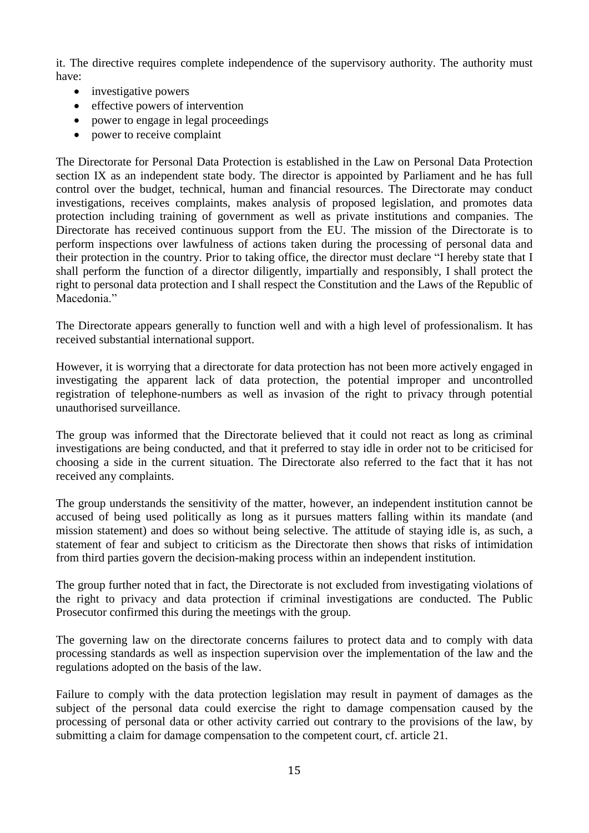it. The directive requires complete independence of the supervisory authority. The authority must have:

- investigative powers
- effective powers of intervention
- power to engage in legal proceedings
- power to receive complaint

The Directorate for Personal Data Protection is established in the Law on Personal Data Protection section IX as an independent state body. The director is appointed by Parliament and he has full control over the budget, technical, human and financial resources. The Directorate may conduct investigations, receives complaints, makes analysis of proposed legislation, and promotes data protection including training of government as well as private institutions and companies. The Directorate has received continuous support from the EU. The mission of the Directorate is to perform inspections over lawfulness of actions taken during the processing of personal data and their protection in the country. Prior to taking office, the director must declare "I hereby state that I shall perform the function of a director diligently, impartially and responsibly, I shall protect the right to personal data protection and I shall respect the Constitution and the Laws of the Republic of Macedonia."

The Directorate appears generally to function well and with a high level of professionalism. It has received substantial international support.

However, it is worrying that a directorate for data protection has not been more actively engaged in investigating the apparent lack of data protection, the potential improper and uncontrolled registration of telephone-numbers as well as invasion of the right to privacy through potential unauthorised surveillance.

The group was informed that the Directorate believed that it could not react as long as criminal investigations are being conducted, and that it preferred to stay idle in order not to be criticised for choosing a side in the current situation. The Directorate also referred to the fact that it has not received any complaints.

The group understands the sensitivity of the matter, however, an independent institution cannot be accused of being used politically as long as it pursues matters falling within its mandate (and mission statement) and does so without being selective. The attitude of staying idle is, as such, a statement of fear and subject to criticism as the Directorate then shows that risks of intimidation from third parties govern the decision-making process within an independent institution.

The group further noted that in fact, the Directorate is not excluded from investigating violations of the right to privacy and data protection if criminal investigations are conducted. The Public Prosecutor confirmed this during the meetings with the group.

The governing law on the directorate concerns failures to protect data and to comply with data processing standards as well as inspection supervision over the implementation of the law and the regulations adopted on the basis of the law.

Failure to comply with the data protection legislation may result in payment of damages as the subject of the personal data could exercise the right to damage compensation caused by the processing of personal data or other activity carried out contrary to the provisions of the law, by submitting a claim for damage compensation to the competent court, cf. article 21.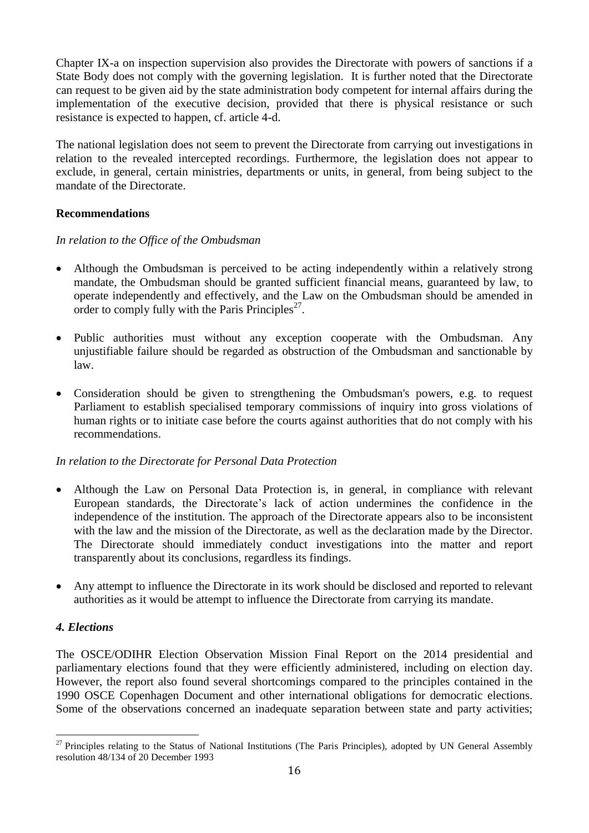Chapter IX-a on inspection supervision also provides the Directorate with powers of sanctions if a State Body does not comply with the governing legislation. It is further noted that the Directorate can request to be given aid by the state administration body competent for internal affairs during the implementation of the executive decision, provided that there is physical resistance or such resistance is expected to happen, cf. article 4-d.

The national legislation does not seem to prevent the Directorate from carrying out investigations in relation to the revealed intercepted recordings. Furthermore, the legislation does not appear to exclude, in general, certain ministries, departments or units, in general, from being subject to the mandate of the Directorate.

# **Recommendations**

### *In relation to the Office of the Ombudsman*

- Although the Ombudsman is perceived to be acting independently within a relatively strong mandate, the Ombudsman should be granted sufficient financial means, guaranteed by law, to operate independently and effectively, and the Law on the Ombudsman should be amended in order to comply fully with the Paris Principles<sup>27</sup>.
- Public authorities must without any exception cooperate with the Ombudsman. Any unjustifiable failure should be regarded as obstruction of the Ombudsman and sanctionable by law.
- Consideration should be given to strengthening the Ombudsman's powers, e.g. to request Parliament to establish specialised temporary commissions of inquiry into gross violations of human rights or to initiate case before the courts against authorities that do not comply with his recommendations.

# *In relation to the Directorate for Personal Data Protection*

- Although the Law on Personal Data Protection is, in general, in compliance with relevant European standards, the Directorate's lack of action undermines the confidence in the independence of the institution. The approach of the Directorate appears also to be inconsistent with the law and the mission of the Directorate, as well as the declaration made by the Director. The Directorate should immediately conduct investigations into the matter and report transparently about its conclusions, regardless its findings.
- Any attempt to influence the Directorate in its work should be disclosed and reported to relevant authorities as it would be attempt to influence the Directorate from carrying its mandate.

# *4. Elections*

The OSCE/ODIHR Election Observation Mission Final Report on the 2014 presidential and parliamentary elections found that they were efficiently administered, including on election day. However, the report also found several shortcomings compared to the principles contained in the 1990 OSCE Copenhagen Document and other international obligations for democratic elections. Some of the observations concerned an inadequate separation between state and party activities;

<sup>&</sup>lt;u>.</u>  $27$  Principles relating to the Status of National Institutions (The Paris Principles), adopted by UN General Assembly resolution 48/134 of 20 December 1993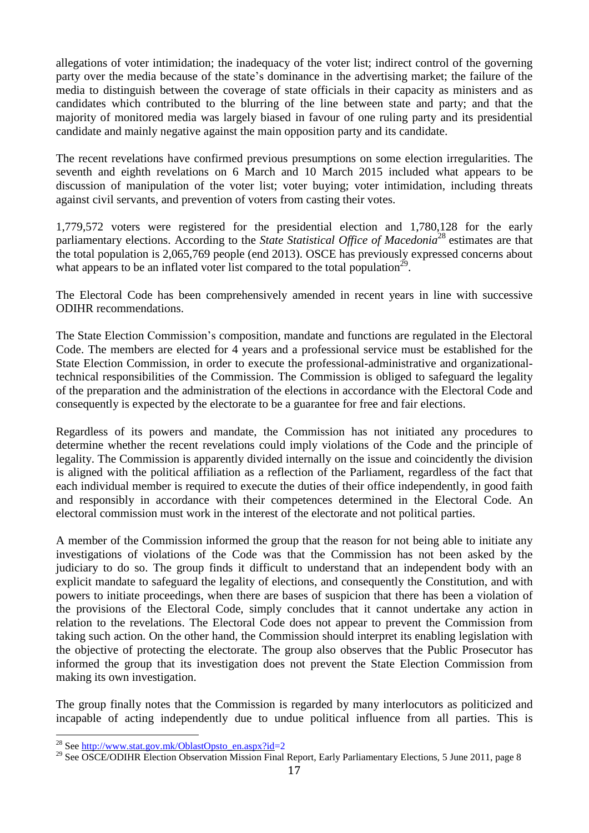allegations of voter intimidation; the inadequacy of the voter list; indirect control of the governing party over the media because of the state's dominance in the advertising market; the failure of the media to distinguish between the coverage of state officials in their capacity as ministers and as candidates which contributed to the blurring of the line between state and party; and that the majority of monitored media was largely biased in favour of one ruling party and its presidential candidate and mainly negative against the main opposition party and its candidate.

The recent revelations have confirmed previous presumptions on some election irregularities. The seventh and eighth revelations on 6 March and 10 March 2015 included what appears to be discussion of manipulation of the voter list; voter buying; voter intimidation, including threats against civil servants, and prevention of voters from casting their votes.

1,779,572 voters were registered for the presidential election and 1,780,128 for the early parliamentary elections. According to the *State Statistical Office of Macedonia*<sup>28</sup> estimates are that the total population is 2,065,769 people (end 2013). OSCE has previously expressed concerns about what appears to be an inflated voter list compared to the total population<sup>29</sup>.

The Electoral Code has been comprehensively amended in recent years in line with successive ODIHR recommendations.

The State Election Commission's composition, mandate and functions are regulated in the Electoral Code. The members are elected for 4 years and a professional service must be established for the State Election Commission, in order to execute the professional-administrative and organizationaltechnical responsibilities of the Commission. The Commission is obliged to safeguard the legality of the preparation and the administration of the elections in accordance with the Electoral Code and consequently is expected by the electorate to be a guarantee for free and fair elections.

Regardless of its powers and mandate, the Commission has not initiated any procedures to determine whether the recent revelations could imply violations of the Code and the principle of legality. The Commission is apparently divided internally on the issue and coincidently the division is aligned with the political affiliation as a reflection of the Parliament, regardless of the fact that each individual member is required to execute the duties of their office independently, in good faith and responsibly in accordance with their competences determined in the Electoral Code. An electoral commission must work in the interest of the electorate and not political parties.

A member of the Commission informed the group that the reason for not being able to initiate any investigations of violations of the Code was that the Commission has not been asked by the judiciary to do so. The group finds it difficult to understand that an independent body with an explicit mandate to safeguard the legality of elections, and consequently the Constitution, and with powers to initiate proceedings, when there are bases of suspicion that there has been a violation of the provisions of the Electoral Code, simply concludes that it cannot undertake any action in relation to the revelations. The Electoral Code does not appear to prevent the Commission from taking such action. On the other hand, the Commission should interpret its enabling legislation with the objective of protecting the electorate. The group also observes that the Public Prosecutor has informed the group that its investigation does not prevent the State Election Commission from making its own investigation.

The group finally notes that the Commission is regarded by many interlocutors as politicized and incapable of acting independently due to undue political influence from all parties. This is

<sup>&</sup>lt;sup>28</sup> Se[e http://www.stat.gov.mk/OblastOpsto\\_en.aspx?id=](http://www.stat.gov.mk/OblastOpsto_en.aspx?id)2

<sup>&</sup>lt;sup>29</sup> See OSCE/ODIHR Election Observation Mission Final Report, Early Parliamentary Elections, 5 June 2011, page 8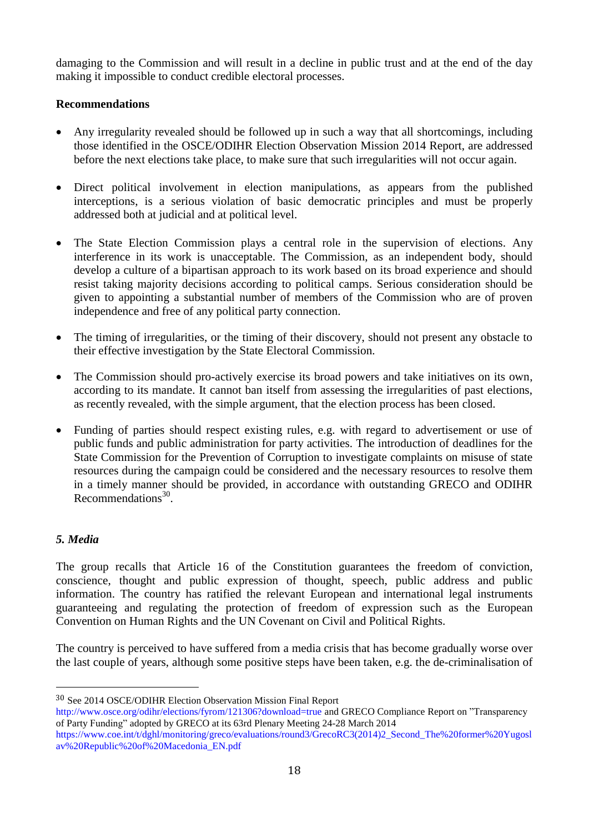damaging to the Commission and will result in a decline in public trust and at the end of the day making it impossible to conduct credible electoral processes.

# **Recommendations**

- Any irregularity revealed should be followed up in such a way that all shortcomings, including those identified in the OSCE/ODIHR Election Observation Mission 2014 Report, are addressed before the next elections take place, to make sure that such irregularities will not occur again.
- Direct political involvement in election manipulations, as appears from the published interceptions, is a serious violation of basic democratic principles and must be properly addressed both at judicial and at political level.
- The State Election Commission plays a central role in the supervision of elections. Any interference in its work is unacceptable. The Commission, as an independent body, should develop a culture of a bipartisan approach to its work based on its broad experience and should resist taking majority decisions according to political camps. Serious consideration should be given to appointing a substantial number of members of the Commission who are of proven independence and free of any political party connection.
- The timing of irregularities, or the timing of their discovery, should not present any obstacle to their effective investigation by the State Electoral Commission.
- The Commission should pro-actively exercise its broad powers and take initiatives on its own, according to its mandate. It cannot ban itself from assessing the irregularities of past elections, as recently revealed, with the simple argument, that the election process has been closed.
- Funding of parties should respect existing rules, e.g. with regard to advertisement or use of public funds and public administration for party activities. The introduction of deadlines for the State Commission for the Prevention of Corruption to investigate complaints on misuse of state resources during the campaign could be considered and the necessary resources to resolve them in a timely manner should be provided, in accordance with outstanding GRECO and ODIHR Recommendations<sup>30</sup>.

# *5. Media*

<u>.</u>

The group recalls that Article 16 of the Constitution guarantees the freedom of conviction, conscience, thought and public expression of thought, speech, public address and public information. The country has ratified the relevant European and international legal instruments guaranteeing and regulating the protection of freedom of expression such as the European Convention on Human Rights and the UN Covenant on Civil and Political Rights.

The country is perceived to have suffered from a media crisis that has become gradually worse over the last couple of years, although some positive steps have been taken, e.g. the de-criminalisation of

<sup>30</sup> See 2014 OSCE/ODIHR Election Observation Mission Final Report

<http://www.osce.org/odihr/elections/fyrom/121306?download=true> and GRECO Compliance Report on "Transparency of Party Funding" adopted by GRECO at its 63rd Plenary Meeting 24-28 March 2014

[https://www.coe.int/t/dghl/monitoring/greco/evaluations/round3/GrecoRC3\(2014\)2\\_Second\\_The%20former%20Yugosl](https://www.coe.int/t/dghl/monitoring/greco/evaluations/round3/GrecoRC3(2014)2_Second_The%20former%20Yugoslav%20Republic%20of%20Macedonia_EN.pdf) [av%20Republic%20of%20Macedonia\\_EN.pdf](https://www.coe.int/t/dghl/monitoring/greco/evaluations/round3/GrecoRC3(2014)2_Second_The%20former%20Yugoslav%20Republic%20of%20Macedonia_EN.pdf)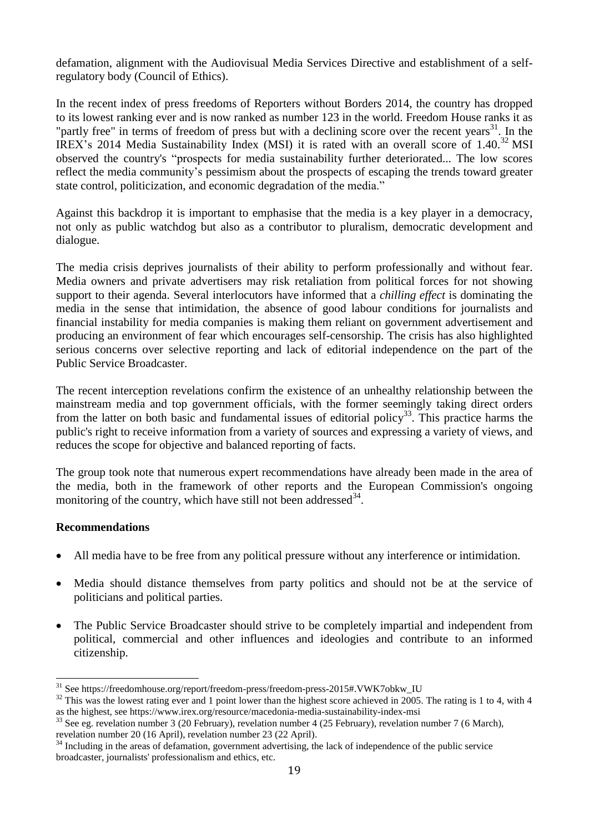defamation, alignment with the Audiovisual Media Services Directive and establishment of a selfregulatory body (Council of Ethics).

In the recent index of press freedoms of Reporters without Borders 2014, the country has dropped to its lowest ranking ever and is now ranked as number 123 in the world. Freedom House ranks it as "partly free" in terms of freedom of press but with a declining score over the recent years $31$ . In the IREX's 2014 Media Sustainability Index (MSI) it is rated with an overall score of 1.40.<sup>32</sup> MSI observed the country's "prospects for media sustainability further deteriorated... The low scores reflect the media community's pessimism about the prospects of escaping the trends toward greater state control, politicization, and economic degradation of the media."

Against this backdrop it is important to emphasise that the media is a key player in a democracy, not only as public watchdog but also as a contributor to pluralism, democratic development and dialogue.

The media crisis deprives journalists of their ability to perform professionally and without fear. Media owners and private advertisers may risk retaliation from political forces for not showing support to their agenda. Several interlocutors have informed that a *chilling effect* is dominating the media in the sense that intimidation, the absence of good labour conditions for journalists and financial instability for media companies is making them reliant on government advertisement and producing an environment of fear which encourages self-censorship. The crisis has also highlighted serious concerns over selective reporting and lack of editorial independence on the part of the Public Service Broadcaster.

The recent interception revelations confirm the existence of an unhealthy relationship between the mainstream media and top government officials, with the former seemingly taking direct orders from the latter on both basic and fundamental issues of editorial policy<sup>33</sup>. This practice harms the public's right to receive information from a variety of sources and expressing a variety of views, and reduces the scope for objective and balanced reporting of facts.

The group took note that numerous expert recommendations have already been made in the area of the media, both in the framework of other reports and the European Commission's ongoing monitoring of the country, which have still not been addressed  $34$ .

#### **Recommendations**

- All media have to be free from any political pressure without any interference or intimidation.
- Media should distance themselves from party politics and should not be at the service of politicians and political parties.
- The Public Service Broadcaster should strive to be completely impartial and independent from political, commercial and other influences and ideologies and contribute to an informed citizenship.

<sup>31</sup> Se[e https://freedomhouse.org/report/freedom-press/freedom-press-2015#.VWK7obkw\\_IU](https://freedomhouse.org/report/freedom-press/freedom-press-2015#.VWK7obkw_IU)

 $32$  This was the lowest rating ever and 1 point lower than the highest score achieved in 2005. The rating is 1 to 4, with 4 as the highest, see<https://www.irex.org/resource/macedonia-media-sustainability-index-msi>

<sup>&</sup>lt;sup>33</sup> See eg. revelation number 3 (20 February), revelation number 4 (25 February), revelation number 7 (6 March), revelation number 20 (16 April), revelation number 23 (22 April).

<sup>&</sup>lt;sup>34</sup> Including in the areas of defamation, government advertising, the lack of independence of the public service broadcaster, journalists' professionalism and ethics, etc.